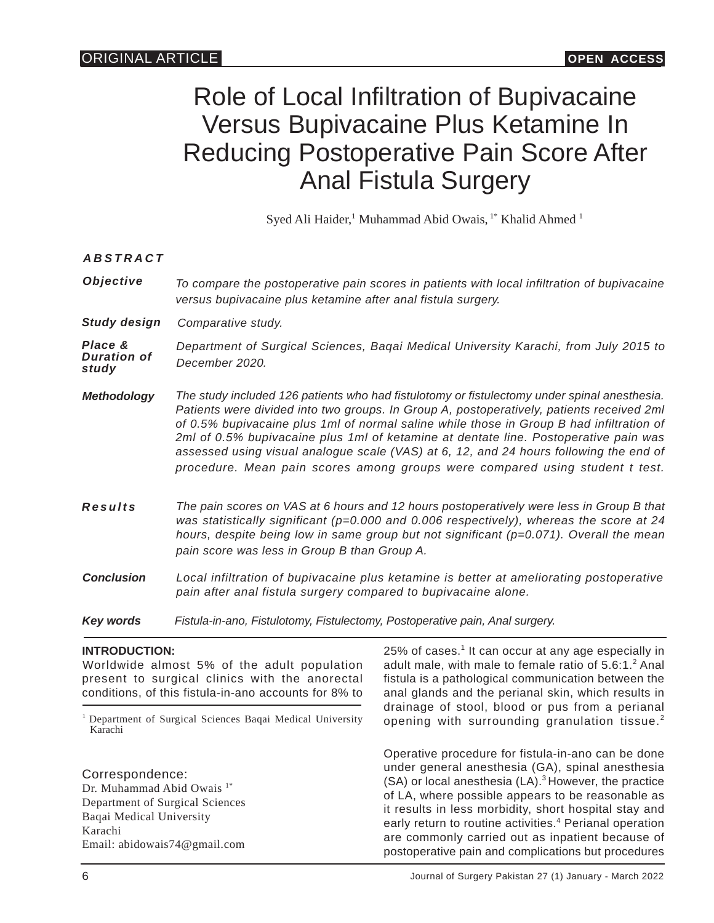# Role of Local Infiltration of Bupivacaine Versus Bupivacaine Plus Ketamine In Reducing Postoperative Pain Score After Anal Fistula Surgery

Syed Ali Haider,<sup>1</sup> Muhammad Abid Owais, <sup>1\*</sup> Khalid Ahmed <sup>1</sup>

*ABSTRACT*

*Objective To compare the postoperative pain scores in patients with local infiltration of bupivacaine versus bupivacaine plus ketamine after anal fistula surgery.*

*Study design Comparative study.*

*Place & Duration of study Department of Surgical Sciences, Baqai Medical University Karachi, from July 2015 to December 2020.*

- *Methodology The study included 126 patients who had fistulotomy or fistulectomy under spinal anesthesia. Patients were divided into two groups. In Group A, postoperatively, patients received 2ml of 0.5% bupivacaine plus 1ml of normal saline while those in Group B had infiltration of 2ml of 0.5% bupivacaine plus 1ml of ketamine at dentate line. Postoperative pain was assessed using visual analogue scale (VAS) at 6, 12, and 24 hours following the end of procedure. Mean pain scores among groups were compared using student t test.*
- *Results The pain scores on VAS at 6 hours and 12 hours postoperatively were less in Group B that was statistically significant (p=0.000 and 0.006 respectively), whereas the score at 24 hours, despite being low in same group but not significant (p=0.071). Overall the mean pain score was less in Group B than Group A.*
- *Conclusion Local infiltration of bupivacaine plus ketamine is better at ameliorating postoperative pain after anal fistula surgery compared to bupivacaine alone.*
- *Key words Fistula-in-ano, Fistulotomy, Fistulectomy, Postoperative pain, Anal surgery.*

#### **INTRODUCTION:**

Worldwide almost 5% of the adult population present to surgical clinics with the anorectal conditions, of this fistula-in-ano accounts for 8% to <sup>1</sup>Department of Surgical Sciences Baqai Medical University Karachi Correspondence: Dr. Muhammad Abid Owais<sup>1\*</sup> Department of Surgical Sciences Baqai Medical University Karachi Email: abidowais74@gmail.com 25% of cases. $<sup>1</sup>$  It can occur at any age especially in</sup> adult male, with male to female ratio of  $5.6:1.^2$  Anal fistula is a pathological communication between the anal glands and the perianal skin, which results in drainage of stool, blood or pus from a perianal opening with surrounding granulation tissue.<sup>2</sup> Operative procedure for fistula-in-ano can be done under general anesthesia (GA), spinal anesthesia (SA) or local anesthesia (LA).<sup>3</sup> However, the practice of LA, where possible appears to be reasonable as it results in less morbidity, short hospital stay and early return to routine activities.<sup>4</sup> Perianal operation are commonly carried out as inpatient because of postoperative pain and complications but procedures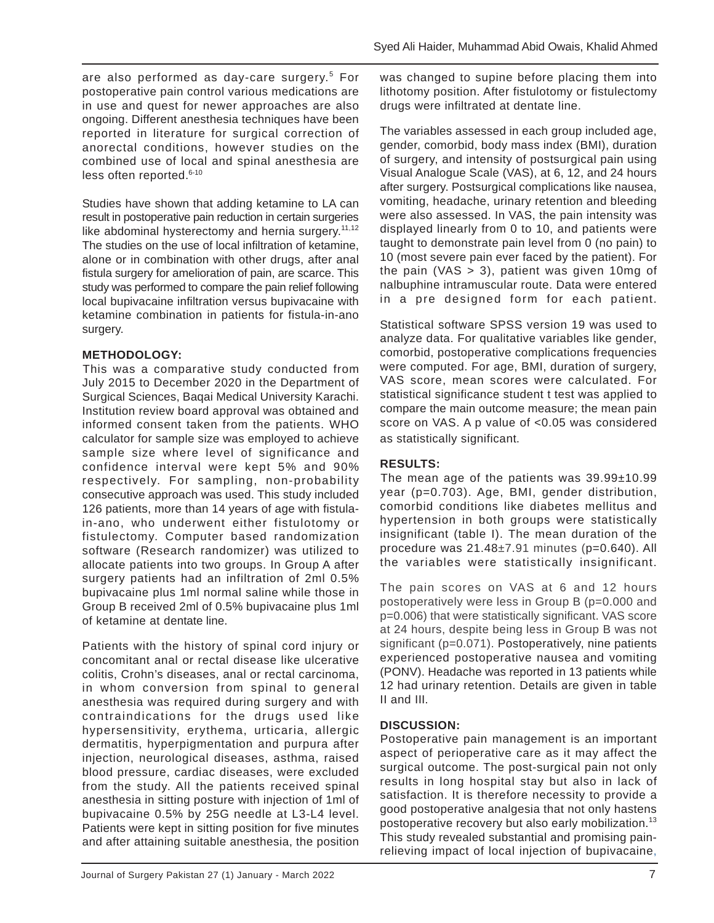are also performed as day-care surgery.<sup>5</sup> For postoperative pain control various medications are in use and quest for newer approaches are also ongoing. Different anesthesia techniques have been reported in literature for surgical correction of anorectal conditions, however studies on the combined use of local and spinal anesthesia are less often reported. 6-10

Studies have shown that adding ketamine to LA can result in postoperative pain reduction in certain surgeries like abdominal hysterectomy and hernia surgery. $11,12$ The studies on the use of local infiltration of ketamine, alone or in combination with other drugs, after anal fistula surgery for amelioration of pain, are scarce. This study was performed to compare the pain relief following local bupivacaine infiltration versus bupivacaine with ketamine combination in patients for fistula-in-ano surgery.

#### **METHODOLOGY:**

This was a comparative study conducted from July 2015 to December 2020 in the Department of Surgical Sciences, Baqai Medical University Karachi. Institution review board approval was obtained and informed consent taken from the patients. WHO calculator for sample size was employed to achieve sample size where level of significance and confidence interval were kept 5% and 90% respectively. For sampling, non-probability consecutive approach was used. This study included 126 patients, more than 14 years of age with fistulain-ano, who underwent either fistulotomy or fistulectomy. Computer based randomization software (Research randomizer) was utilized to allocate patients into two groups. In Group A after surgery patients had an infiltration of 2ml 0.5% bupivacaine plus 1ml normal saline while those in Group B received 2ml of 0.5% bupivacaine plus 1ml of ketamine at dentate line.

Patients with the history of spinal cord injury or concomitant anal or rectal disease like ulcerative colitis, Crohn's diseases, anal or rectal carcinoma, in whom conversion from spinal to general anesthesia was required during surgery and with contraindications for the drugs used like hypersensitivity, erythema, urticaria, allergic dermatitis, hyperpigmentation and purpura after injection, neurological diseases, asthma, raised blood pressure, cardiac diseases, were excluded from the study. All the patients received spinal anesthesia in sitting posture with injection of 1ml of bupivacaine 0.5% by 25G needle at L3-L4 level. Patients were kept in sitting position for five minutes and after attaining suitable anesthesia, the position was changed to supine before placing them into lithotomy position. After fistulotomy or fistulectomy drugs were infiltrated at dentate line.

The variables assessed in each group included age, gender, comorbid, body mass index (BMI), duration of surgery, and intensity of postsurgical pain using Visual Analogue Scale (VAS), at 6, 12, and 24 hours after surgery. Postsurgical complications like nausea, vomiting, headache, urinary retention and bleeding were also assessed. In VAS, the pain intensity was displayed linearly from 0 to 10, and patients were taught to demonstrate pain level from 0 (no pain) to 10 (most severe pain ever faced by the patient). For the pain (VAS  $>$  3), patient was given 10mg of nalbuphine intramuscular route. Data were entered in a pre designed form for each patient.

Statistical software SPSS version 19 was used to analyze data. For qualitative variables like gender, comorbid, postoperative complications frequencies were computed. For age, BMI, duration of surgery, VAS score, mean scores were calculated. For statistical significance student t test was applied to compare the main outcome measure; the mean pain score on VAS. A p value of <0.05 was considered as statistically significant.

## **RESULTS:**

The mean age of the patients was 39.99±10.99 year (p=0.703). Age, BMI, gender distribution, comorbid conditions like diabetes mellitus and hypertension in both groups were statistically insignificant (table I). The mean duration of the procedure was 21.48±7.91 minutes (p=0.640). All the variables were statistically insignificant.

The pain scores on VAS at 6 and 12 hours postoperatively were less in Group B (p=0.000 and p=0.006) that were statistically significant. VAS score at 24 hours, despite being less in Group B was not significant (p=0.071). Postoperatively, nine patients experienced postoperative nausea and vomiting (PONV). Headache was reported in 13 patients while 12 had urinary retention. Details are given in table II and III.

## **DISCUSSION:**

Postoperative pain management is an important aspect of perioperative care as it may affect the surgical outcome. The post-surgical pain not only results in long hospital stay but also in lack of satisfaction. It is therefore necessity to provide a good postoperative analgesia that not only hastens postoperative recovery but also early mobilization.<sup>13</sup> This study revealed substantial and promising painrelieving impact of local injection of bupivacaine,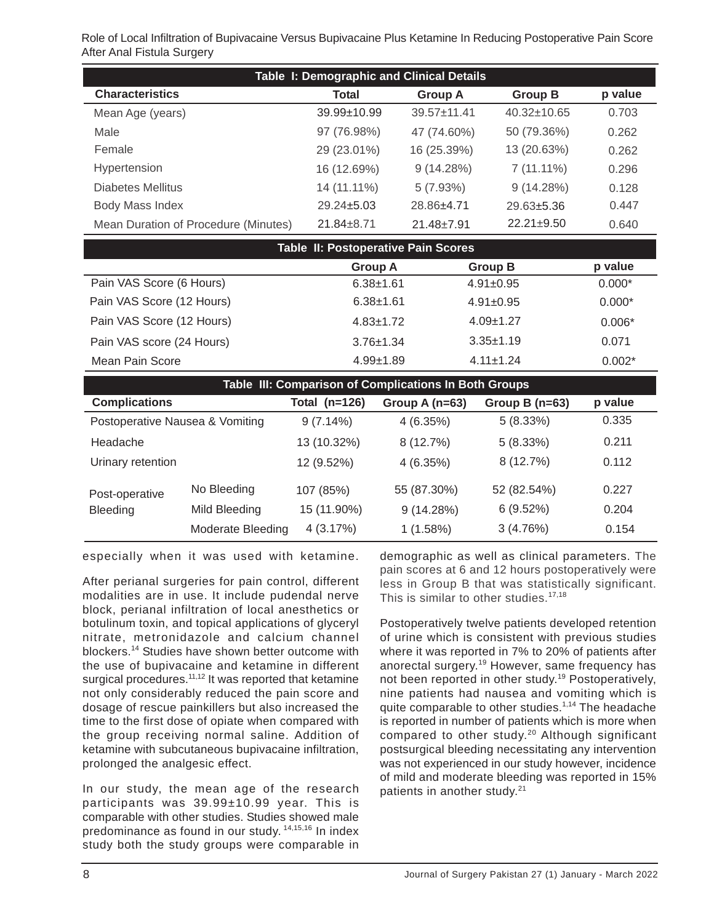Role of Local Infiltration of Bupivacaine Versus Bupivacaine Plus Ketamine In Reducing Postoperative Pain Score After Anal Fistula Surgery

| Table I: Demographic and Clinical Details |                   |                   |                   |         |  |  |
|-------------------------------------------|-------------------|-------------------|-------------------|---------|--|--|
| <b>Characteristics</b>                    | Total             | <b>Group A</b>    | <b>Group B</b>    | p value |  |  |
| Mean Age (years)                          | $39.99 \pm 10.99$ | $39.57 \pm 11.41$ | $40.32 \pm 10.65$ | 0.703   |  |  |
| Male                                      | 97 (76.98%)       | 47 (74.60%)       | 50 (79.36%)       | 0.262   |  |  |
| Female                                    | 29 (23.01%)       | 16 (25.39%)       | 13 (20.63%)       | 0.262   |  |  |
| Hypertension                              | 16 (12.69%)       | 9(14.28%)         | $7(11.11\%)$      | 0.296   |  |  |
| Diabetes Mellitus                         | 14 (11.11%)       | 5(7.93%)          | 9(14.28%)         | 0.128   |  |  |
| Body Mass Index                           | $29.24 \pm 5.03$  | 28.86±4.71        | $29.63 \pm 5.36$  | 0.447   |  |  |
| Mean Duration of Procedure (Minutes)      | $21.84 \pm 8.71$  | $21.48 \pm 7.91$  | $22.21 \pm 9.50$  | 0.640   |  |  |

| Table II: Postoperative Pain Scores |                 |                 |          |  |  |  |
|-------------------------------------|-----------------|-----------------|----------|--|--|--|
|                                     | <b>Group A</b>  | <b>Group B</b>  | p value  |  |  |  |
| Pain VAS Score (6 Hours)            | $6.38 + 1.61$   | $4.91 \pm 0.95$ | $0.000*$ |  |  |  |
| Pain VAS Score (12 Hours)           | $6.38 + 1.61$   | $4.91 + 0.95$   | $0.000*$ |  |  |  |
| Pain VAS Score (12 Hours)           | $4.83 \pm 1.72$ | $4.09 \pm 1.27$ | $0.006*$ |  |  |  |
| Pain VAS score (24 Hours)           | $3.76 \pm 1.34$ | $3.35 + 1.19$   | 0.071    |  |  |  |
| Mean Pain Score                     | $4.99 + 1.89$   | $4.11 + 1.24$   | $0.002*$ |  |  |  |

| Table III: Comparison of Complications In Both Groups |                   |                 |                  |                  |         |  |  |  |
|-------------------------------------------------------|-------------------|-----------------|------------------|------------------|---------|--|--|--|
| <b>Complications</b>                                  |                   | Total $(n=126)$ | Group A $(n=63)$ | Group B $(n=63)$ | p value |  |  |  |
| Postoperative Nausea & Vomiting                       |                   | $9(7.14\%)$     | 4(6.35%)         | 5(8.33%)         | 0.335   |  |  |  |
| Headache                                              |                   | 13 (10.32%)     | 8(12.7%)         | 5(8.33%)         | 0.211   |  |  |  |
| Urinary retention                                     |                   | 12 (9.52%)      | 4(6.35%)         | 8(12.7%)         | 0.112   |  |  |  |
| Post-operative<br>Bleeding                            | No Bleeding       | 107 (85%)       | 55 (87.30%)      | 52 (82.54%)      | 0.227   |  |  |  |
|                                                       | Mild Bleeding     | 15 (11.90%)     | 9(14.28%)        | 6(9.52%)         | 0.204   |  |  |  |
|                                                       | Moderate Bleeding | 4(3.17%)        | 1(1.58%)         | 3(4.76%)         | 0.154   |  |  |  |

especially when it was used with ketamine.

After perianal surgeries for pain control, different modalities are in use. It include pudendal nerve block, perianal infiltration of local anesthetics or botulinum toxin, and topical applications of glyceryl nitrate, metronidazole and calcium channel blockers.<sup>14</sup> Studies have shown better outcome with the use of bupivacaine and ketamine in different surgical procedures.<sup>11,12</sup> It was reported that ketamine not only considerably reduced the pain score and dosage of rescue painkillers but also increased the time to the first dose of opiate when compared with the group receiving normal saline. Addition of ketamine with subcutaneous bupivacaine infiltration, prolonged the analgesic effect.

In our study, the mean age of the research participants was 39.99±10.99 year. This is comparable with other studies. Studies showed male predominance as found in our study. 14,15,16 In index study both the study groups were comparable in

demographic as well as clinical parameters. The pain scores at 6 and 12 hours postoperatively were less in Group B that was statistically significant. This is similar to other studies.<sup>17,18</sup>

Postoperatively twelve patients developed retention of urine which is consistent with previous studies where it was reported in 7% to 20% of patients after anorectal surgery.<sup>19</sup> However, same frequency has not been reported in other study.<sup>19</sup> Postoperatively, nine patients had nausea and vomiting which is quite comparable to other studies.<sup>1,14</sup> The headache is reported in number of patients which is more when compared to other study.<sup>20</sup> Although significant postsurgical bleeding necessitating any intervention was not experienced in our study however, incidence of mild and moderate bleeding was reported in 15% patients in another study.<sup>21</sup>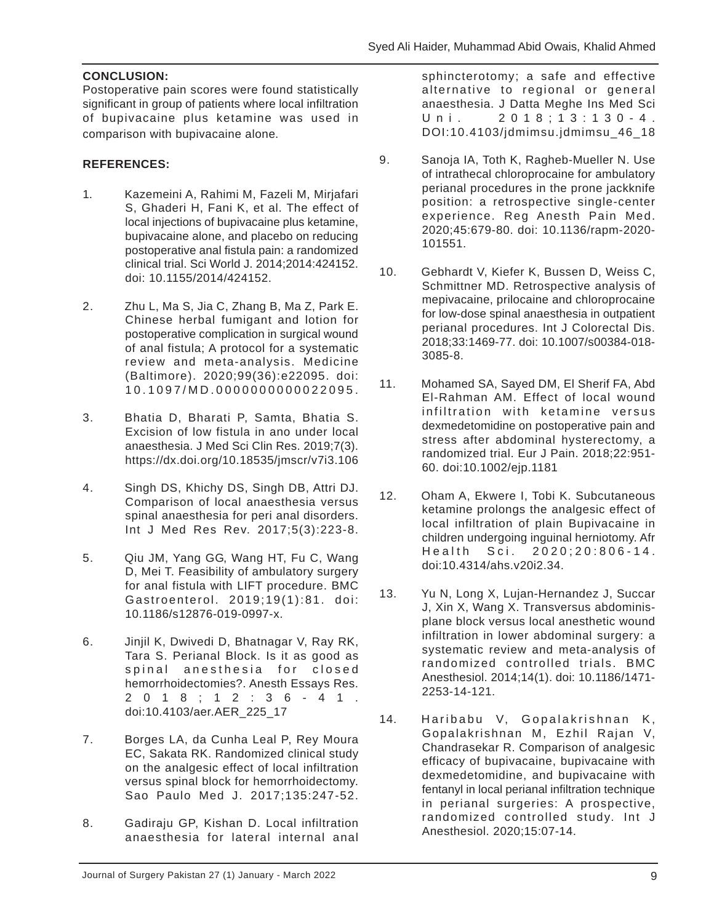## **CONCLUSION:**

Postoperative pain scores were found statistically significant in group of patients where local infiltration of bupivacaine plus ketamine was used in comparison with bupivacaine alone.

#### **REFERENCES:**

- 1. Kazemeini A, Rahimi M, Fazeli M, Mirjafari S, Ghaderi H, Fani K, et al. The effect of local injections of bupivacaine plus ketamine, bupivacaine alone, and placebo on reducing postoperative anal fistula pain: a randomized clinical trial. Sci World J. 2014;2014:424152. doi: 10.1155/2014/424152.
- 2. Zhu L, Ma S, Jia C, Zhang B, Ma Z, Park E. Chinese herbal fumigant and lotion for postoperative complication in surgical wound of anal fistula; A protocol for a systematic review and meta-analysis. Medicine (Baltimore). 2020;99(36):e22095. doi: 10.1097/MD.0000000000022095.
- 3. Bhatia D, Bharati P, Samta, Bhatia S. Excision of low fistula in ano under local anaesthesia. J Med Sci Clin Res. 2019;7(3). https://dx.doi.org/10.18535/jmscr/v7i3.106
- 4. Singh DS, Khichy DS, Singh DB, Attri DJ. Comparison of local anaesthesia versus spinal anaesthesia for peri anal disorders. Int J Med Res Rev. 2017;5(3):223-8.
- 5. Qiu JM, Yang GG, Wang HT, Fu C, Wang D, Mei T. Feasibility of ambulatory surgery for anal fistula with LIFT procedure. BMC Gastroenterol. 2019;19(1):81. doi: 10.1186/s12876-019-0997-x.
- 6. Jinjil K, Dwivedi D, Bhatnagar V, Ray RK, Tara S. Perianal Block. Is it as good as spinal anesthesia for closed hemorrhoidectomies?. Anesth Essays Res. 2018;12:36-41. doi:10.4103/aer.AER\_225\_17
- 7. Borges LA, da Cunha Leal P, Rey Moura EC, Sakata RK. Randomized clinical study on the analgesic effect of local infiltration versus spinal block for hemorrhoidectomy. Sao Paulo Med J. 2017;135:247-52.
- 8. Gadiraju GP, Kishan D. Local infiltration anaesthesia for lateral internal anal

sphincterotomy; a safe and effective alternative to regional or general anaesthesia. J Datta Meghe Ins Med Sci Uni. 2018;13:130-4. DOI:10.4103/jdmimsu.jdmimsu\_46\_18

- 9. Sanoja IA, Toth K, Ragheb-Mueller N. Use of intrathecal chloroprocaine for ambulatory perianal procedures in the prone jackknife position: a retrospective single-center experience. Reg Anesth Pain Med. 2020;45:679-80. doi: 10.1136/rapm-2020- 101551.
- 10. Gebhardt V, Kiefer K, Bussen D, Weiss C, Schmittner MD. Retrospective analysis of mepivacaine, prilocaine and chloroprocaine for low-dose spinal anaesthesia in outpatient perianal procedures. Int J Colorectal Dis. 2018;33:1469-77. doi: 10.1007/s00384-018- 3085-8.
- 11. Mohamed SA, Sayed DM, El Sherif FA, Abd El-Rahman AM. Effect of local wound infiltration with ketamine versus dexmedetomidine on postoperative pain and stress after abdominal hysterectomy, a randomized trial. Eur J Pain. 2018;22:951- 60. doi:10.1002/ejp.1181
- 12. Oham A, Ekwere I, Tobi K. Subcutaneous ketamine prolongs the analgesic effect of local infiltration of plain Bupivacaine in children undergoing inguinal herniotomy. Afr Health Sci. 2020;20:806-14. doi:10.4314/ahs.v20i2.34.
- 13. Yu N, Long X, Lujan-Hernandez J, Succar J, Xin X, Wang X. Transversus abdominisplane block versus local anesthetic wound infiltration in lower abdominal surgery: a systematic review and meta-analysis of randomized controlled trials. BMC Anesthesiol. 2014;14(1). doi: 10.1186/1471- 2253-14-121.
- 14. Haribabu V, Gopalakrishnan K, Gopalakrishnan M, Ezhil Rajan V, Chandrasekar R. Comparison of analgesic efficacy of bupivacaine, bupivacaine with dexmedetomidine, and bupivacaine with fentanyl in local perianal infiltration technique in perianal surgeries: A prospective, randomized controlled study. Int J Anesthesiol. 2020;15:07-14.